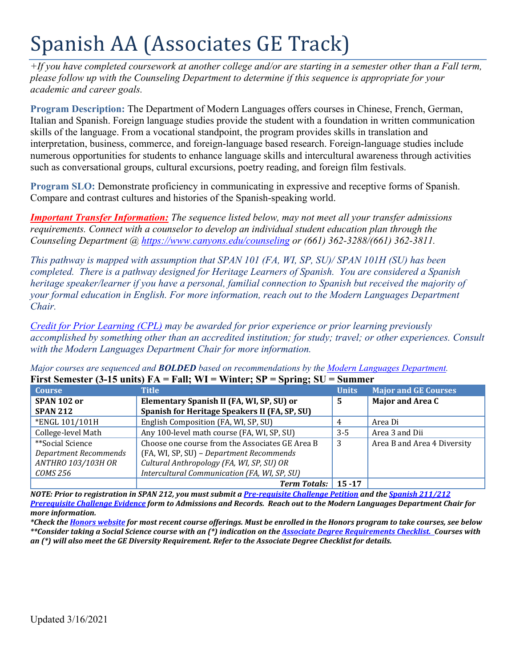# Spanish AA (Associates GE Track)

*+If you have completed coursework at another college and/or are starting in a semester other than a Fall term, please follow up with the Counseling Department to determine if this sequence is appropriate for your academic and career goals.* 

**Program Description:** The Department of Modern Languages offers courses in Chinese, French, German, Italian and Spanish. Foreign language studies provide the student with a foundation in written communication skills of the language. From a vocational standpoint, the program provides skills in translation and interpretation, business, commerce, and foreign-language based research. Foreign-language studies include numerous opportunities for students to enhance language skills and intercultural awareness through activities such as conversational groups, cultural excursions, poetry reading, and foreign film festivals.

**Program SLO:** Demonstrate proficiency in communicating in expressive and receptive forms of Spanish. Compare and contrast cultures and histories of the Spanish-speaking world.

*Important Transfer Information: The sequence listed below, may not meet all your transfer admissions requirements. Connect with a counselor to develop an individual student education plan through the Counseling Department @<https://www.canyons.edu/counseling> or (661) 362-3288/(661) 362-3811.*

*This pathway is mapped with assumption that SPAN 101 (FA, WI, SP, SU)/ SPAN 101H (SU) has been completed. There is a pathway designed for Heritage Learners of Spanish. You are considered a Spanish heritage speaker/learner if you have a personal, familial connection to Spanish but received the majority of your formal education in English. For more information, reach out to the Modern Languages Department Chair.* 

*[Credit for Prior Learning \(CPL\)](https://www.canyons.edu/studentservices/admissions/records/credit-by-exam.php) may be awarded for prior experience or prior learning previously accomplished by something other than an accredited institution; for study; travel; or other experiences. Consult with the Modern Languages Department Chair for more information.* 

*Major courses are sequenced and BOLDED based on recommendations by the [Modern Languages Department.](https://www.canyons.edu/academics/languages/index.php)* **First Semester (3-15 units) FA = Fall; WI = Winter; SP = Spring; SU = Summer**

| <b>Course</b>                | <b>Title</b>                                    | <b>Units</b> | <b>Major and GE Courses</b> |
|------------------------------|-------------------------------------------------|--------------|-----------------------------|
| SPAN 102 or                  | Elementary Spanish II (FA, WI, SP, SU) or<br>.5 |              | <b>Major and Area C</b>     |
| <b>SPAN 212</b>              | Spanish for Heritage Speakers II (FA, SP, SU)   |              |                             |
| *ENGL 101/101H               | English Composition (FA, WI, SP, SU)            | 4            | Area Di                     |
| College-level Math           | Any 100-level math course (FA, WI, SP, SU)      | $3 - 5$      | Area 3 and Dii              |
| **Social Science             | Choose one course from the Associates GE Area B | 3            | Area B and Area 4 Diversity |
| <b>Department Recommends</b> | (FA, WI, SP, SU) - Department Recommends        |              |                             |
| <b>ANTHRO 103/103H OR</b>    | Cultural Anthropology (FA, WI, SP, SU) OR       |              |                             |
| COMS 256                     | Intercultural Communication (FA, WI, SP, SU)    |              |                             |
|                              | <b>Term Totals:</b>                             | $15 - 17$    |                             |

*NOTE: Prior to registration in SPAN 212, you must submit [a Pre-requisite Challenge Petition](https://www.canyons.edu/_resources/documents/studentservices/admissions/PrerequisiteChallenge.pdf) and the [Spanish 211/212](https://www.canyons.edu/_resources/documents/academics/languages/HL2.pdf)  [Prerequisite Challenge Evidence](https://www.canyons.edu/_resources/documents/academics/languages/HL2.pdf) form to Admissions and Records. Reach out to the Modern Languages Department Chair for more information.* 

*\*Check the [Honors website](https://www.canyons.edu/academics/honors/index.php) for most recent course offerings. Must be enrolled in the Honors program to take courses, see below \*\*Consider taking a Social Science course with an (\*) indication on th[e Associate Degree Requirements Checklist.](https://www.canyons.edu/studentservices/counseling/degrees/generaled.php) Courses with an (\*) will also meet the GE Diversity Requirement. Refer to the Associate Degree Checklist for details.*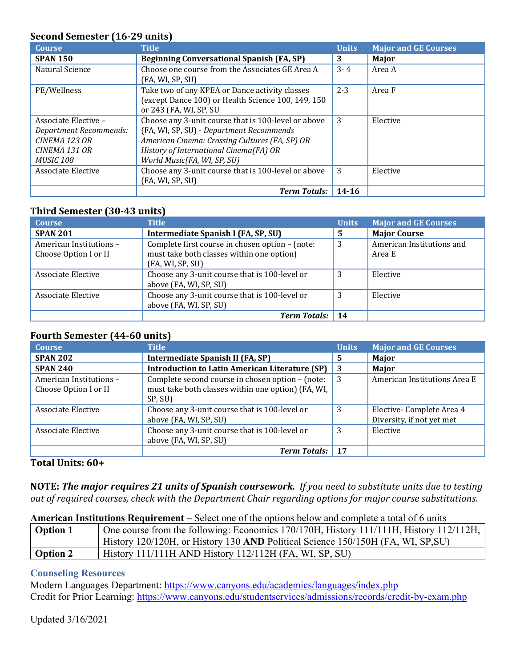## **Second Semester (16-29 units)**

| <b>Course</b>          | <b>Title</b>                                        | <b>Units</b> | <b>Major and GE Courses</b> |
|------------------------|-----------------------------------------------------|--------------|-----------------------------|
| <b>SPAN 150</b>        | <b>Beginning Conversational Spanish (FA, SP)</b>    | 3            | <b>Major</b>                |
| Natural Science        | Choose one course from the Associates GE Area A     | $3 - 4$      | Area A                      |
|                        | (FA, WI, SP, SU)                                    |              |                             |
| PE/Wellness            | Take two of any KPEA or Dance activity classes      | $2 - 3$      | Area F                      |
|                        | (except Dance 100) or Health Science 100, 149, 150  |              |                             |
|                        | or 243 (FA, WI, SP, SU                              |              |                             |
| Associate Elective -   | Choose any 3-unit course that is 100-level or above | 3            | Elective                    |
| Department Recommends: | (FA, WI, SP, SU) - Department Recommends            |              |                             |
| CINEMA 123 OR          | American Cinema: Crossing Cultures (FA, SP) OR      |              |                             |
| CINEMA 131 OR          | History of International Cinema(FA) OR              |              |                             |
| <b>MUSIC 108</b>       | World Music(FA, WI, SP, SU)                         |              |                             |
| Associate Elective     | Choose any 3-unit course that is 100-level or above | 3            | Elective                    |
|                        | (FA, WI, SP, SU)                                    |              |                             |
|                        | <b>Term Totals:</b>                                 | $14 - 16$    |                             |

## **Third Semester (30-43 units)**

| <b>Course</b>                                    | <b>Title</b>                                                                                                     | <b>Units</b> | <b>Major and GE Courses</b>         |
|--------------------------------------------------|------------------------------------------------------------------------------------------------------------------|--------------|-------------------------------------|
| <b>SPAN 201</b>                                  | Intermediate Spanish I (FA, SP, SU)                                                                              | 5            | <b>Major Course</b>                 |
| American Institutions -<br>Choose Option I or II | Complete first course in chosen option - (note:<br>must take both classes within one option)<br>(FA, WI, SP, SU) | 3            | American Institutions and<br>Area E |
| Associate Elective                               | Choose any 3-unit course that is 100-level or<br>above (FA, WI, SP, SU)                                          | 3            | Elective                            |
| Associate Elective                               | Choose any 3-unit course that is 100-level or<br>above (FA, WI, SP, SU)                                          | 3            | Elective                            |
|                                                  | <b>Term Totals:</b>                                                                                              | 14           |                                     |

## **Fourth Semester (44-60 units)**

| <b>Course</b>                                    | <b>Title</b>                                                                                                      | <b>Units</b> | <b>Major and GE Courses</b>                           |
|--------------------------------------------------|-------------------------------------------------------------------------------------------------------------------|--------------|-------------------------------------------------------|
| <b>SPAN 202</b>                                  | Intermediate Spanish II (FA, SP)                                                                                  | 5            | Major                                                 |
| <b>SPAN 240</b>                                  | <b>Introduction to Latin American Literature (SP)</b>                                                             | 3            | Major                                                 |
| American Institutions -<br>Choose Option I or II | Complete second course in chosen option - (note:<br>must take both classes within one option) (FA, WI,<br>SP, SU) | 3            | American Institutions Area E                          |
| Associate Elective                               | Choose any 3-unit course that is 100-level or<br>above (FA, WI, SP, SU)                                           | 3            | Elective-Complete Area 4<br>Diversity, if not yet met |
| Associate Elective                               | Choose any 3-unit course that is 100-level or<br>above (FA, WI, SP, SU)                                           | 3            | Elective                                              |
|                                                  | <b>Term Totals:</b>                                                                                               | 17           |                                                       |

# **Total Units: 60+**

**NOTE:** *The major requires 21 units of Spanish coursework. If you need to substitute units due to testing out of required courses, check with the Department Chair regarding options for major course substitutions.*

## **American Institutions Requirement –** Select one of the options below and complete a total of 6 units

| <b>Option 1</b> | One course from the following: Economics 170/170H, History 111/11H, History 112/112H, |  |
|-----------------|---------------------------------------------------------------------------------------|--|
|                 | History 120/120H, or History 130 AND Political Science 150/150H (FA, WI, SP, SU)      |  |
| <b>Option 2</b> | History 111/111H AND History 112/112H (FA, WI, SP, SU)                                |  |

## **Counseling Resources**

Modern Languages Department: <https://www.canyons.edu/academics/languages/index.php> Credit for Prior Learning:<https://www.canyons.edu/studentservices/admissions/records/credit-by-exam.php>